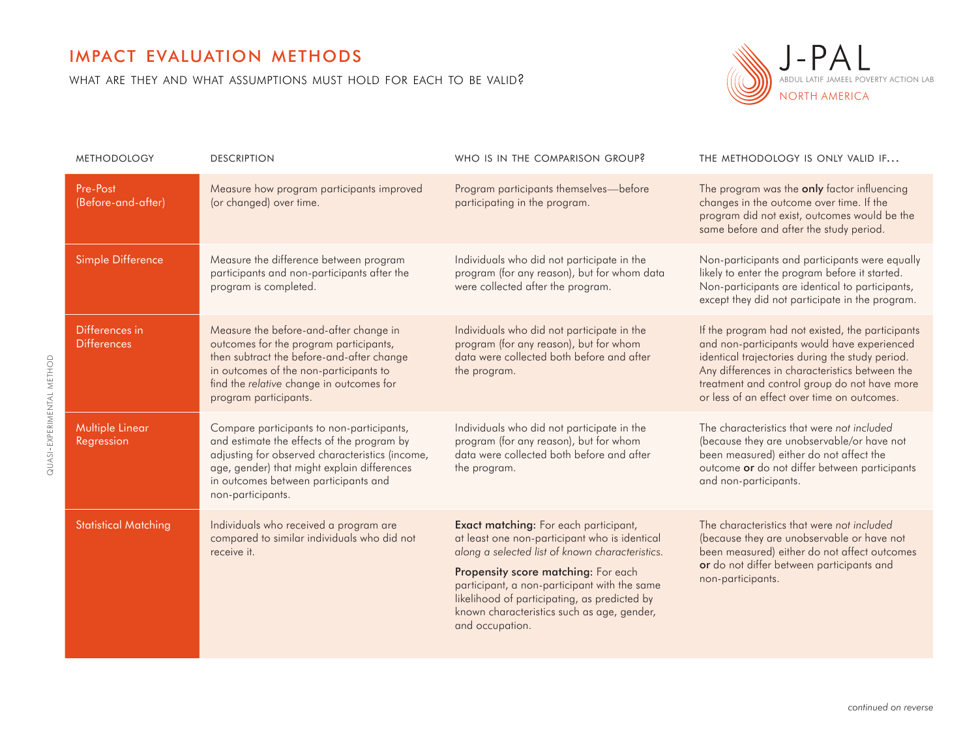## impact evaluation methods

quasi-experimental method

QUASI-EXPERIMENTAL METHOD

what are they and what assumptions must hold for each to be valid?



| <b>METHODOLOGY</b>                   | <b>DESCRIPTION</b>                                                                                                                                                                                                                                     | WHO IS IN THE COMPARISON GROUP?                                                                                                                                                                                                                                                                                                                   | THE METHODOLOGY IS ONLY VALID IF                                                                                                                                                                                                                                                                    |
|--------------------------------------|--------------------------------------------------------------------------------------------------------------------------------------------------------------------------------------------------------------------------------------------------------|---------------------------------------------------------------------------------------------------------------------------------------------------------------------------------------------------------------------------------------------------------------------------------------------------------------------------------------------------|-----------------------------------------------------------------------------------------------------------------------------------------------------------------------------------------------------------------------------------------------------------------------------------------------------|
| Pre-Post<br>(Before-and-after)       | Measure how program participants improved<br>(or changed) over time.                                                                                                                                                                                   | Program participants themselves-before<br>participating in the program.                                                                                                                                                                                                                                                                           | The program was the <b>only</b> factor influencing<br>changes in the outcome over time. If the<br>program did not exist, outcomes would be the<br>same before and after the study period.                                                                                                           |
| Simple Difference                    | Measure the difference between program<br>participants and non-participants after the<br>program is completed.                                                                                                                                         | Individuals who did not participate in the<br>program (for any reason), but for whom data<br>were collected after the program.                                                                                                                                                                                                                    | Non-participants and participants were equally<br>likely to enter the program before it started.<br>Non-participants are identical to participants,<br>except they did not participate in the program.                                                                                              |
| Differences in<br><b>Differences</b> | Measure the before-and-after change in<br>outcomes for the program participants,<br>then subtract the before-and-after change<br>in outcomes of the non-participants to<br>find the relative change in outcomes for<br>program participants.           | Individuals who did not participate in the<br>program (for any reason), but for whom<br>data were collected both before and after<br>the program.                                                                                                                                                                                                 | If the program had not existed, the participants<br>and non-participants would have experienced<br>identical trajectories during the study period.<br>Any differences in characteristics between the<br>treatment and control group do not have more<br>or less of an effect over time on outcomes. |
| <b>Multiple Linear</b><br>Regression | Compare participants to non-participants,<br>and estimate the effects of the program by<br>adjusting for observed characteristics (income,<br>age, gender) that might explain differences<br>in outcomes between participants and<br>non-participants. | Individuals who did not participate in the<br>program (for any reason), but for whom<br>data were collected both before and after<br>the program.                                                                                                                                                                                                 | The characteristics that were not included<br>(because they are unobservable/or have not<br>been measured) either do not affect the<br>outcome or do not differ between participants<br>and non-participants.                                                                                       |
| <b>Statistical Matching</b>          | Individuals who received a program are<br>compared to similar individuals who did not<br>receive it.                                                                                                                                                   | Exact matching: For each participant,<br>at least one non-participant who is identical<br>along a selected list of known characteristics.<br>Propensity score matching: For each<br>participant, a non-participant with the same<br>likelihood of participating, as predicted by<br>known characteristics such as age, gender,<br>and occupation. | The characteristics that were not included<br>(because they are unobservable or have not<br>been measured) either do not affect outcomes<br>or do not differ between participants and<br>non-participants.                                                                                          |